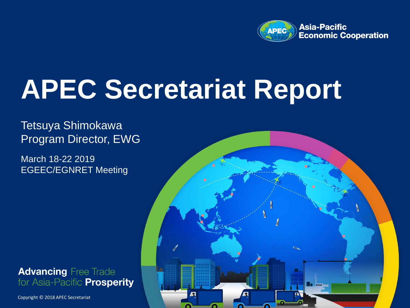

# **APEC Secretariat Report**

### Tetsuya Shimokawa Program Director, EWG

March 18-22 2019 EGEEC/EGNRET Meeting



Copyright © 2017 APEC Secretariat Copyright © 2018 APEC Secretariat

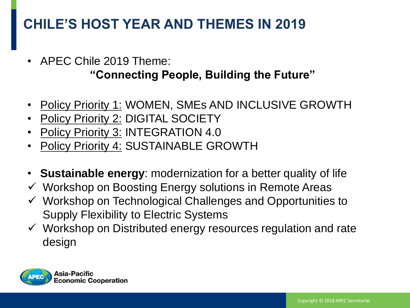# **CHILE'S HOST YEAR AND THEMES IN 2019**

- APEC Chile 2019 Theme: **"Connecting People, Building the Future"**
- Policy Priority 1: WOMEN, SMEs AND INCLUSIVE GROWTH
- Policy Priority 2: DIGITAL SOCIETY
- Policy Priority 3: INTEGRATION 4.0
- Policy Priority 4: SUSTAINABLE GROWTH
- **Sustainable energy**: modernization for a better quality of life
- $\checkmark$  Workshop on Boosting Energy solutions in Remote Areas
- $\checkmark$  Workshop on Technological Challenges and Opportunities to Supply Flexibility to Electric Systems
- $\checkmark$  Workshop on Distributed energy resources regulation and rate design

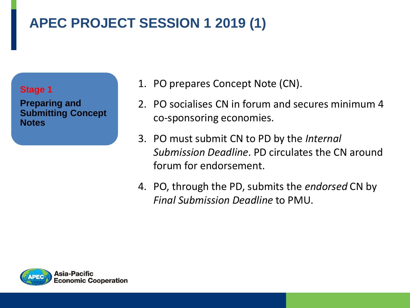# **APEC PROJECT SESSION 1 2019 (1)**



**Preparing and Submitting Concept Notes** 

- 1. PO prepares Concept Note (CN).
- 2. PO socialises CN in forum and secures minimum 4 co-sponsoring economies.
- 3. PO must submit CN to PD by the *Internal Submission Deadline*. PD circulates the CN around forum for endorsement.
- 4. PO, through the PD, submits the *endorsed* CN by *Final Submission Deadline* to PMU.

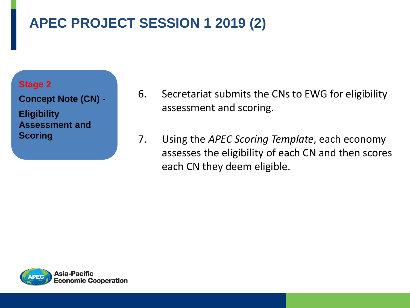# **APEC PROJECT SESSION 1 2019 (2)**

#### **Stage 2**

**Concept Note (CN) - Eligibility Assessment and Scoring**

- 6. Secretariat submits the CNs to EWG for eligibility assessment and scoring.
- 7. Using the *APEC Scoring Template*, each economy assesses the eligibility of each CN and then scores each CN they deem eligible.

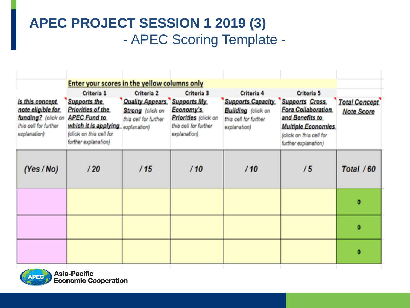### **APEC PROJECT SESSION 1 2019 (3)** - APEC Scoring Template -

|                                                                                                      | Enter your scores in the yellow columns only                                                                                                                          |                                                                                              |                                                                                                                       |                                                                                                       |                                                                                                                                                              |                                           |
|------------------------------------------------------------------------------------------------------|-----------------------------------------------------------------------------------------------------------------------------------------------------------------------|----------------------------------------------------------------------------------------------|-----------------------------------------------------------------------------------------------------------------------|-------------------------------------------------------------------------------------------------------|--------------------------------------------------------------------------------------------------------------------------------------------------------------|-------------------------------------------|
| is this concept.<br>note eligible for<br>funding? (click on<br>this cell for further<br>explanation) | <b>Criteria 1</b><br>Supports the<br>Priorities of the<br><b>APEC Fund to</b><br>which it is applying explanation)<br>(click on this cell for<br>further explanation) | Criteria <sub>2</sub><br><b>Quality Appears</b><br>Strong (click on<br>this cell for further | <b>Criteria 3</b><br><b>Supports My</b><br>Economy's<br>Priorities (click on<br>this cell for further<br>explanation) | Criteria 4<br><b>Supports Capacity</b><br>Building (click on<br>this cell for further<br>explanation) | Criteria 5<br><b>Supports Cross</b><br>Fora Collaboration<br>and Benefits to<br><b>Multiple Economies</b><br>(click on this cell for<br>further explanation) | <b>Total Concept</b><br><b>Note Score</b> |
| (Yes/No)                                                                                             | /20                                                                                                                                                                   | /15                                                                                          | /10                                                                                                                   | /10                                                                                                   | 75                                                                                                                                                           | Total / 60                                |
|                                                                                                      |                                                                                                                                                                       |                                                                                              |                                                                                                                       |                                                                                                       |                                                                                                                                                              | o                                         |
|                                                                                                      |                                                                                                                                                                       |                                                                                              |                                                                                                                       |                                                                                                       |                                                                                                                                                              | ٥                                         |
|                                                                                                      |                                                                                                                                                                       |                                                                                              |                                                                                                                       |                                                                                                       |                                                                                                                                                              | ٥                                         |

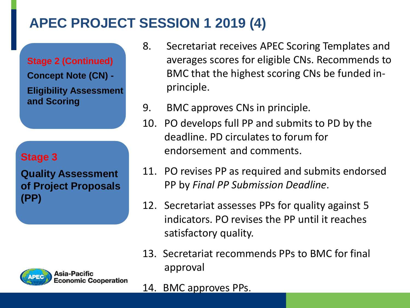### **APEC PROJECT SESSION 1 2019 (4)**

**Stage 2 (Continued) Concept Note (CN) - Eligibility Assessment and Scoring**

#### **Stage 3**

**Quality Assessment of Project Proposals (PP)**

- 8. Secretariat receives APEC Scoring Templates and averages scores for eligible CNs. Recommends to BMC that the highest scoring CNs be funded inprinciple.
- 9. BMC approves CNs in principle.
- 10. PO develops full PP and submits to PD by the deadline. PD circulates to forum for endorsement and comments.
- 11. PO revises PP as required and submits endorsed PP by *Final PP Submission Deadline*.
- 12. Secretariat assesses PPs for quality against 5 indicators. PO revises the PP until it reaches satisfactory quality.
- 13. Secretariat recommends PPs to BMC for final approval
- 14. BMC approves PPs.

Asia-Pacific conomic Cooperation: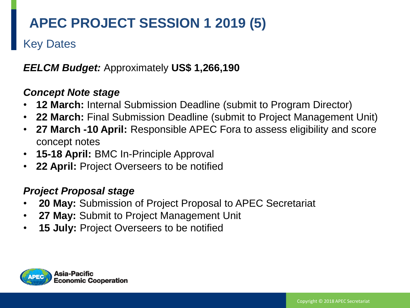# **APEC PROJECT SESSION 1 2019 (5)**

### Key Dates

#### *EELCM Budget:* Approximately **US\$ 1,266,190**

#### *Concept Note stage*

- **12 March:** Internal Submission Deadline (submit to Program Director)
- **22 March:** Final Submission Deadline (submit to Project Management Unit)
- **27 March -10 April:** Responsible APEC Fora to assess eligibility and score concept notes
- **15-18 April:** BMC In-Principle Approval
- **22 April:** Project Overseers to be notified

#### *Project Proposal stage*

- **20 May:** Submission of Project Proposal to APEC Secretariat
- **27 May:** Submit to Project Management Unit
- **15 July:** Project Overseers to be notified

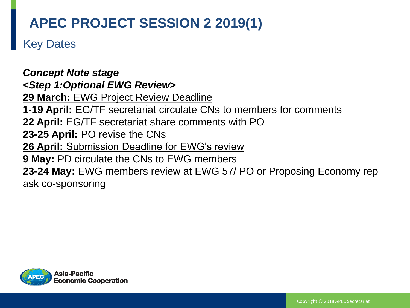### **APEC PROJECT SESSION 2 2019(1)**

Key Dates

*Concept Note stage <Step 1:Optional EWG Review>* **29 March:** EWG Project Review Deadline **1-19 April:** EG/TF secretariat circulate CNs to members for comments **22 April:** EG/TF secretariat share comments with PO **23-25 April:** PO revise the CNs **26 April:** Submission Deadline for EWG's review **9 May:** PD circulate the CNs to EWG members **23-24 May:** EWG members review at EWG 57/ PO or Proposing Economy rep ask co-sponsoring

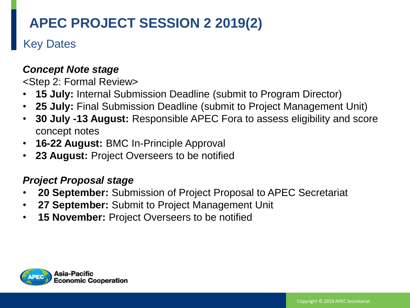# **APEC PROJECT SESSION 2 2019(2)**

### Key Dates

#### *Concept Note stage*

<Step 2: Formal Review>

- **15 July:** Internal Submission Deadline (submit to Program Director)
- **25 July:** Final Submission Deadline (submit to Project Management Unit)
- **30 July -13 August:** Responsible APEC Fora to assess eligibility and score concept notes
- **16-22 August:** BMC In-Principle Approval
- **23 August:** Project Overseers to be notified

#### *Project Proposal stage*

- **20 September:** Submission of Project Proposal to APEC Secretariat
- **27 September:** Submit to Project Management Unit
- **15 November:** Project Overseers to be notified

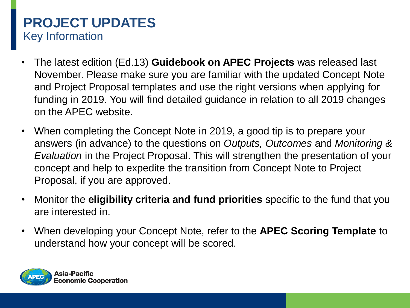### **PROJECT UPDATES** Key Information

- The latest edition (Ed.13) **Guidebook on APEC Projects** was released last November. Please make sure you are familiar with the updated Concept Note and Project Proposal templates and use the right versions when applying for funding in 2019. You will find detailed guidance in relation to all 2019 changes on the APEC website.
- When completing the Concept Note in 2019, a good tip is to prepare your answers (in advance) to the questions on *Outputs, Outcomes* and *Monitoring & Evaluation* in the Project Proposal. This will strengthen the presentation of your concept and help to expedite the transition from Concept Note to Project Proposal, if you are approved.
- Monitor the **eligibility criteria and fund priorities** specific to the fund that you are interested in.
- When developing your Concept Note, refer to the **APEC Scoring Template** to understand how your concept will be scored.

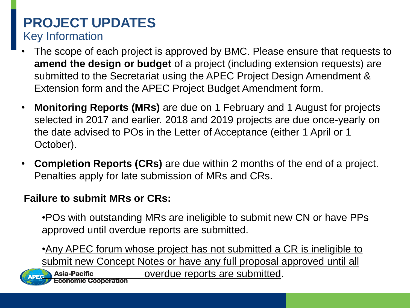### **PROJECT UPDATES** Key Information

- The scope of each project is approved by BMC. Please ensure that requests to **amend the design or budget** of a project (including extension requests) are submitted to the Secretariat using the APEC Project Design Amendment & Extension form and the APEC Project Budget Amendment form.
- **Monitoring Reports (MRs)** are due on 1 February and 1 August for projects selected in 2017 and earlier. 2018 and 2019 projects are due once-yearly on the date advised to POs in the Letter of Acceptance (either 1 April or 1 October).
- **Completion Reports (CRs)** are due within 2 months of the end of a project. Penalties apply for late submission of MRs and CRs.

### **Failure to submit MRs or CRs:**

•POs with outstanding MRs are ineligible to submit new CN or have PPs approved until overdue reports are submitted.

•Any APEC forum whose project has not submitted a CR is ineligible to submit new Concept Notes or have any full proposal approved until all



**Asia-Pacific** Cooperation overdue reports are submitted.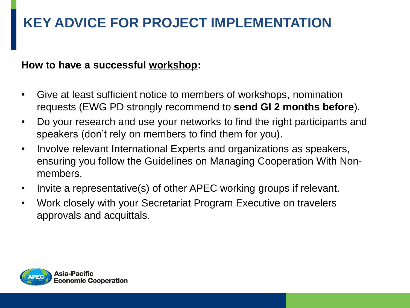# **KEY ADVICE FOR PROJECT IMPLEMENTATION**

#### **How to have a successful workshop:**

- Give at least sufficient notice to members of workshops, nomination requests (EWG PD strongly recommend to **send GI 2 months before**).
- Do your research and use your networks to find the right participants and speakers (don't rely on members to find them for you).
- Involve relevant International Experts and organizations as speakers, ensuring you follow the Guidelines on Managing Cooperation With Nonmembers.
- Invite a representative(s) of other APEC working groups if relevant.
- Work closely with your Secretariat Program Executive on travelers approvals and acquittals.

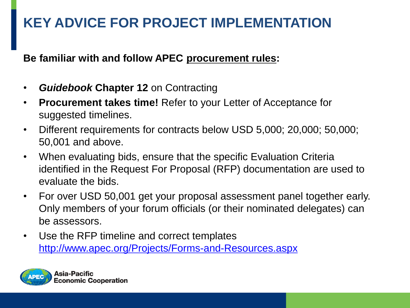# **KEY ADVICE FOR PROJECT IMPLEMENTATION**

**Be familiar with and follow APEC procurement rules:** 

- *Guidebook* **Chapter 12** on Contracting
- **Procurement takes time!** Refer to your Letter of Acceptance for suggested timelines.
- Different requirements for contracts below USD 5,000; 20,000; 50,000; 50,001 and above.
- When evaluating bids, ensure that the specific Evaluation Criteria identified in the Request For Proposal (RFP) documentation are used to evaluate the bids.
- For over USD 50,001 get your proposal assessment panel together early. Only members of your forum officials (or their nominated delegates) can be assessors.
- Use the RFP timeline and correct templates <http://www.apec.org/Projects/Forms-and-Resources.aspx>

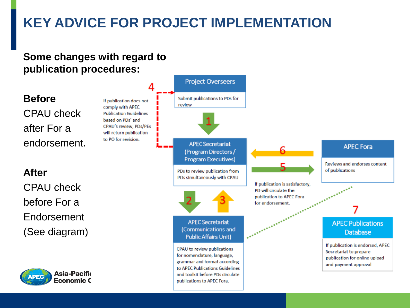# **KEY ADVICE FOR PROJECT IMPLEMENTATION**

#### **Some changes with regard to publication procedures:**

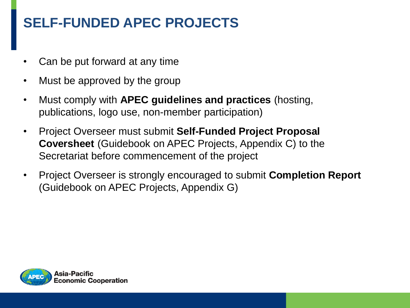### **SELF-FUNDED APEC PROJECTS**

- Can be put forward at any time
- Must be approved by the group
- Must comply with **APEC guidelines and practices** (hosting, publications, logo use, non-member participation)
- Project Overseer must submit **Self-Funded Project Proposal Coversheet** (Guidebook on APEC Projects, Appendix C) to the Secretariat before commencement of the project
- Project Overseer is strongly encouraged to submit **Completion Report**  (Guidebook on APEC Projects, Appendix G)